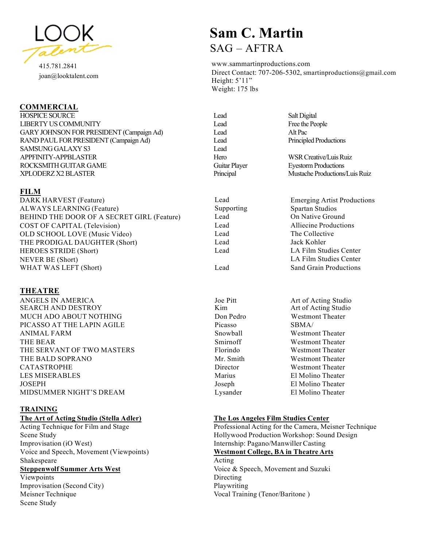

415.781.2841 joan@looktalent.com

#### **COMMERCIAL**

HOSPICE SOURCE Lead Salt Digital LIBERTY US COMMUNITY Lead Erecte People GARY JOHNSON FOR PRESIDENT (Campaign Ad) Lead Lead Alt Pac RAND PAUL FOR PRESIDENT (Campaign Ad) Lead Principled Productions SAMSUNG GALAXY S3 Lead APPFINITY-APPBLASTER Hero WSR Creative/Luis Ruiz ROCKSMITH GUITAR GAME GUITAR GAME Guitar Player Eyestom Productions XPLODERZ X2 BLASTER Principal Principal Mustache Productions/Luis Ruiz

#### **FILM**

DARK HARVEST (Feature) ALWAYS LEARNING (Feature) BEHIND THE DOOR OF A SECRET GIRL (Feature) COST OF CAPITAL (Television) OLD SCHOOL LOVE (Music Video) THE PRODIGAL DAUGHTER (Short) HEROES STRIDE (Short) NEVER BE (Short) WHAT WAS LEFT (Short) **Sand Grain Productions** Lead Sand Grain Productions

### **THEATRE**

ANGELS IN AMERICA SEARCH AND DESTROY MUCH ADO ABOUT NOTHING Don Pedro Westmont Theater PICASSO AT THE LAPIN AGILE PICASSO PRESSO SBMA/ ANIMAL FARM Snowball Westmont Theater THE BEAR THE SERVANT OF TWO MASTERS THE BALD SOPRANO **Mr.** Smith Westmont Theater CATASTROPHE Director Westmont Theater LES MISERABLES Marius El Molino Theater JOSEPH Joseph El Molino Theater MIDSUMMER NIGHT'S DREAM Lysander El Molino Theater

### **TRAINING**

## **The Art of Acting Studio (Stella Adler)**

Acting Technique for Film and Stage Scene Study Improvisation (iO West) Voice and Speech, Movement (Viewpoints) Shakespeare **Steppenwolf Summer Arts West**

Viewpoints Improvisation (Second City) Meisner Technique Scene Study

# **Sam C. Martin**  $SAG - AFTA$

www.sammartinproductions.com Direct Contact: 707-206-5302, smartinproductions@gmail.com Height: 5'11" Weight: 175 lbs

- 
- Lead Supporting Lead Lead Lead Lead Lead

Emerging Artist Productions Spartan Studios On Native Ground Alliecine Productions The Collective Jack Kohler LA Film Studies Center LA Film Studies Center

Joe Pitt Kim Smirnoff Florindo

Art of Acting Studio Art of Acting Studio Westmont Theater Westmont Theater

#### **The Los Angeles Film Studies Center**

Professional Acting for the Camera, Meisner Technique Hollywood Production Workshop: Sound Design Internship: Pagano/Manwiller Casting **Westmont College, BA in Theatre Arts** Acting Voice & Speech, Movement and Suzuki Directing Playwriting Vocal Training (Tenor/Baritone )